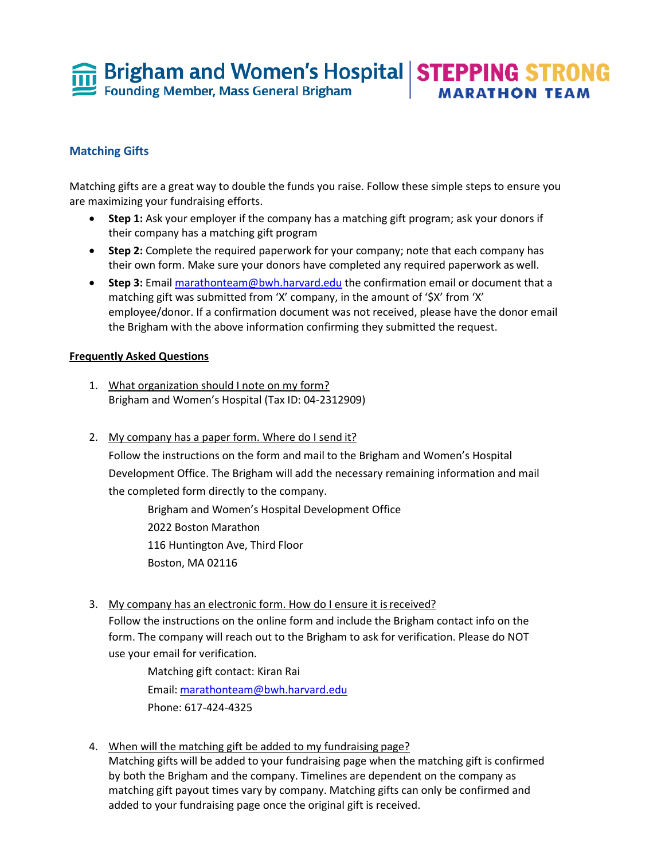**Fi** Brigham and Women's Hospital **STEPPING STRONG** Founding Member, Mass General Brigham **MARATHON TEAM** 

## **Matching Gifts**

Matching gifts are a great way to double the funds you raise. Follow these simple steps to ensure you are maximizing your fundraising efforts.

- **Step 1:** Ask your employer if the company has a matching gift program; ask your donors if their company has a matching gift program
- **Step 2:** Complete the required paperwork for your company; note that each company has their own form. Make sure your donors have completed any required paperwork as well.
- **Step 3:** Email [marathonteam@bwh.harvard.edu](mailto:marathonteam@bwh.harvard.edu) the confirmation email or document that a matching gift was submitted from 'X' company, in the amount of '\$X' from 'X' employee/donor. If a confirmation document was not received, please have the donor email the Brigham with the above information confirming they submitted the request.

## **Frequently Asked Questions**

- 1. What organization should I note on my form? Brigham and Women's Hospital (Tax ID: 04-2312909)
- 2. My company has a paper form. Where do I send it? Follow the instructions on the form and mail to the Brigham and Women's Hospital Development Office. The Brigham will add the necessary remaining information and mail the completed form directly to the company.

Brigham and Women's Hospital Development Office 2022 Boston Marathon 116 Huntington Ave, Third Floor Boston, MA 02116

3. My company has an electronic form. How do I ensure it is received?

Follow the instructions on the online form and include the Brigham contact info on the form. The company will reach out to the Brigham to ask for verification. Please do NOT use your email for verification.

Matching gift contact: Kiran Rai Email: [marathonteam@bwh.harvard.edu](mailto:marathonteam@bwh.harvard.edu) Phone: 617-424-4325

4. When will the matching gift be added to my fundraising page? Matching gifts will be added to your fundraising page when the matching gift is confirmed by both the Brigham and the company. Timelines are dependent on the company as matching gift payout times vary by company. Matching gifts can only be confirmed and added to your fundraising page once the original gift is received.